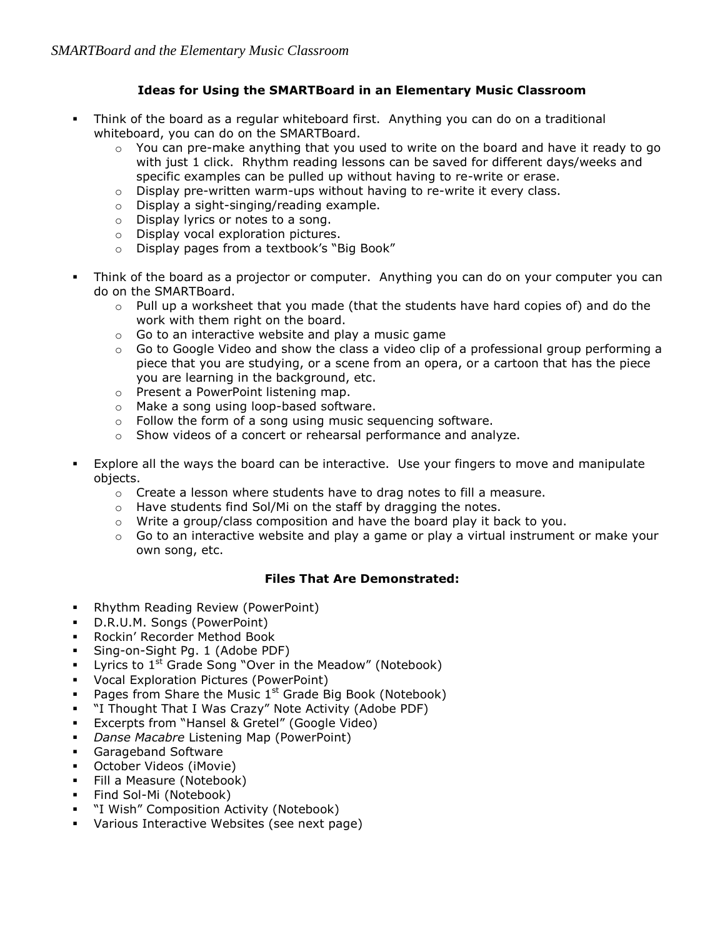## **Ideas for Using the SMARTBoard in an Elementary Music Classroom**

- Think of the board as a regular whiteboard first. Anything you can do on a traditional whiteboard, you can do on the SMARTBoard.
	- $\circ$  You can pre-make anything that you used to write on the board and have it ready to go with just 1 click. Rhythm reading lessons can be saved for different days/weeks and specific examples can be pulled up without having to re-write or erase.
	- $\circ$  Display pre-written warm-ups without having to re-write it every class.
	- o Display a sight-singing/reading example.
	- o Display lyrics or notes to a song.
	- o Display vocal exploration pictures.
	- o Display pages from a textbook's "Big Book"
- Think of the board as a projector or computer. Anything you can do on your computer you can do on the SMARTBoard.
	- $\circ$  Pull up a worksheet that you made (that the students have hard copies of) and do the work with them right on the board.
	- $\circ$  Go to an interactive website and play a music game
	- $\circ$  Go to Google Video and show the class a video clip of a professional group performing a piece that you are studying, or a scene from an opera, or a cartoon that has the piece you are learning in the background, etc.
	- o Present a PowerPoint listening map.
	- o Make a song using loop-based software.
	- o Follow the form of a song using music sequencing software.
	- o Show videos of a concert or rehearsal performance and analyze.
- Explore all the ways the board can be interactive. Use your fingers to move and manipulate objects.
	- $\circ$  Create a lesson where students have to drag notes to fill a measure.
	- o Have students find Sol/Mi on the staff by dragging the notes.
	- $\circ$  Write a group/class composition and have the board play it back to you.
	- $\circ$  Go to an interactive website and play a game or play a virtual instrument or make your own song, etc.

## **Files That Are Demonstrated:**

- **-** Rhythm Reading Review (PowerPoint)
- D.R.U.M. Songs (PowerPoint)
- Rockin' Recorder Method Book
- Sing-on-Sight Pg. 1 (Adobe PDF)
- **Lyrics to**  $1^{st}$  **Grade Song "Over in the Meadow" (Notebook)**
- Vocal Exploration Pictures (PowerPoint)
- Pages from Share the Music  $1<sup>st</sup>$  Grade Big Book (Notebook)
- "I Thought That I Was Crazy" Note Activity (Adobe PDF)
- Excerpts from "Hansel & Gretel" (Google Video)
- *Danse Macabre* Listening Map (PowerPoint)
- Garageband Software
- October Videos (iMovie)
- Fill a Measure (Notebook)
- **Find Sol-Mi (Notebook)**
- "I Wish" Composition Activity (Notebook)
- Various Interactive Websites (see next page)